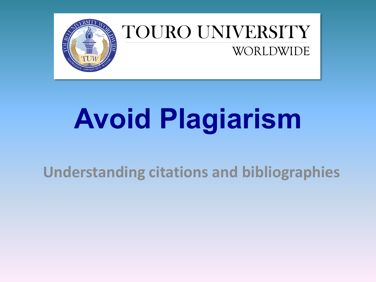

#### TOURO UNIVERSITY WORLDWIDE

# **Avoid Plagiarism**

**Understanding citations and bibliographies**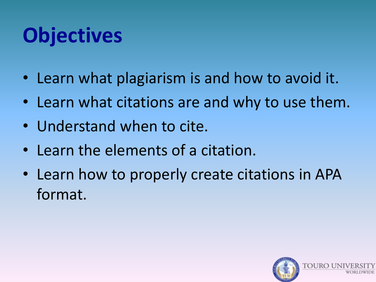# **Objectives**

- Learn what plagiarism is and how to avoid it.
- Learn what citations are and why to use them.
- Understand when to cite.
- Learn the elements of a citation.
- Learn how to properly create citations in APA format.

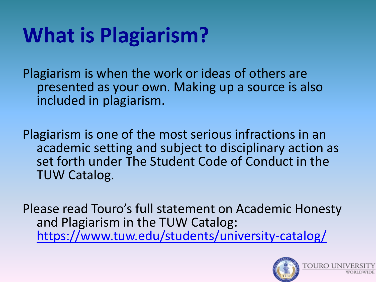# **What is Plagiarism?**

Plagiarism is when the work or ideas of others are presented as your own. Making up a source is also included in plagiarism.

Plagiarism is one of the most serious infractions in an academic setting and subject to disciplinary action as set forth under The Student Code of Conduct in the TUW Catalog.

Please read Touro's full statement on Academic Honesty and Plagiarism in the TUW Catalog: <https://www.tuw.edu/students/university-catalog/>

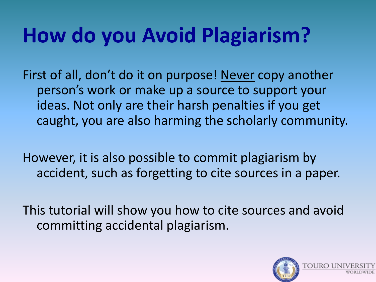## **How do you Avoid Plagiarism?**

First of all, don't do it on purpose! Never copy another person's work or make up a source to support your ideas. Not only are their harsh penalties if you get caught, you are also harming the scholarly community.

However, it is also possible to commit plagiarism by accident, such as forgetting to cite sources in a paper.

This tutorial will show you how to cite sources and avoid committing accidental plagiarism.

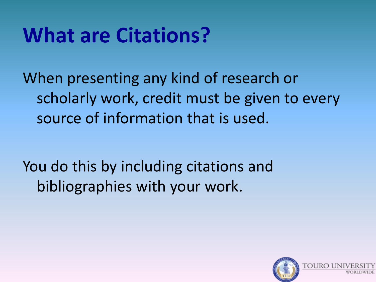### **What are Citations?**

When presenting any kind of research or scholarly work, credit must be given to every source of information that is used.

You do this by including citations and bibliographies with your work.

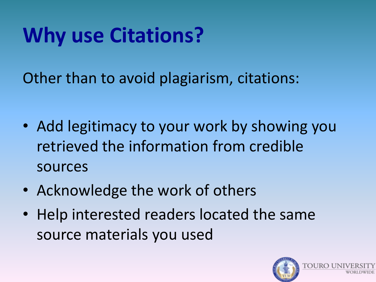# **Why use Citations?**

Other than to avoid plagiarism, citations:

- Add legitimacy to your work by showing you retrieved the information from credible sources
- Acknowledge the work of others
- Help interested readers located the same source materials you used

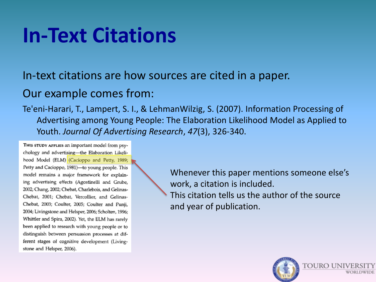### **In-Text Citations**

#### In-text citations are how sources are cited in a paper.

#### Our example comes from:

Te'eni-Harari, T., Lampert, S. I., & LehmanWilzig, S. (2007). Information Processing of Advertising among Young People: The Elaboration Likelihood Model as Applied to Youth. *Journal Of Advertising Research*, *47*(3), 326-340.

THIS STUDY APPLIES an important model from psychology and advertising-the Elaboration Likelihood Model (ELM) (Cacioppo and Petty, 1989; Petty and Cacioppo, 1981)-to young people. This model remains a major framework for explaining advertising effects (Agostinelli and Grube, 2002; Chang, 2002; Chebat, Charlebois, and Gelinas-Chebat, 2001; Chebat, Vercollier, and Gelinas-Chebat, 2003; Coulter, 2005; Coulter and Punji, 2004; Livingstone and Helsper, 2006; Scholten, 1996; Whittler and Spira, 2002). Yet, the ELM has rarely been applied to research with young people or to distinguish between persuasion processes at different stages of cognitive development (Livingstone and Helsper, 2006).

Whenever this paper mentions someone else's work, a citation is included. This citation tells us the author of the source and year of publication.

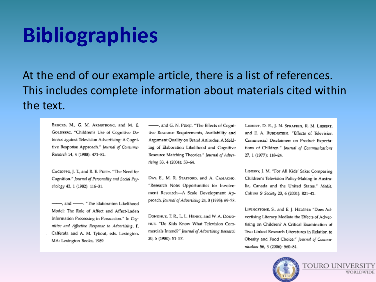### **Bibliographies**

At the end of our example article, there is a list of references. This includes complete information about materials cited within the text.

BRUCKS, M., G. M. ARMSTRONG, and M. E. GOLDBERG. "Children's Use of Cognitive Defenses against Television Advertising: A Cognitive Response Approach." Journal of Consumer Research 14, 4 (1988): 471-82.

CACIOPPO, J. T., and R. E. PETTY. "The Need for Cognition." Journal of Personality and Social Psychology 42, 1 (1982): 116-31.

--------, and --------. "The Elaboration Likelihood Model: The Role of Affect and Affect-Laden Information Processing in Persuasion." In Cognitive and Affective Response to Advertising, P. Cafferata and A. M. Tybout, eds. Lexington, MA: Lexington Books, 1989.

-, and G. N. PUNJI. "The Effects of Cognitive Resource Requirements, Availability and Argument Quality on Brand Attitudes: A Melding of Elaboration Likelihood and Cognitive Resource Matching Theories." Journal of Advertising 33, 4 (2004): 53-64.

DAY, E., M. R. STAFFORD, and A. CAMACHO. "Research Note: Opportunities for Involvement Research-A Scale Development Approach. Journal of Advertising 24, 3 (1995): 69-78.

DONOHUE, T. R., L. L. HENKE, and W. A. DONO-HUE. "Do Kids Know What Television Commercials Intend?" Journal of Advertising Research 20, 5 (1980): 51-57.

LIEBERT, D. E., J. N. SPRAFKIN, R. M. LIEBERT, and E. A. RUBINSTEIN. "Effects of Television Commercial Disclaimers on Product Expectations of Children." Journal of Communications 27, 1 (1977): 118-24.

Lisosky, J. M. "For All Kids' Sake: Comparing Children's Television Policy-Making in Australia, Canada and the United States." Media, Culture & Society 23, 6 (2001): 821-42.

LIVINGSTONE, S., and E. J. HELSPER "Does Advertising Literacy Mediate the Effects of Advertising on Children? A Critical Examination of Two Linked Research Literatures in Relation to Obesity and Food Choice." Journal of Communication 56, 3 (2006): 560-84.

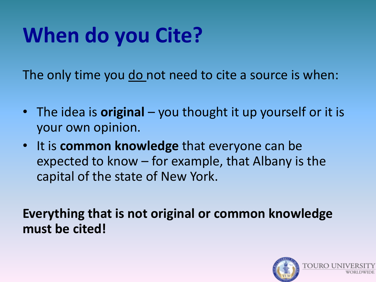# **When do you Cite?**

The only time you do not need to cite a source is when:

- The idea is **original** you thought it up yourself or it is your own opinion.
- It is **common knowledge** that everyone can be expected to know – for example, that Albany is the capital of the state of New York.

**Everything that is not original or common knowledge must be cited!** 

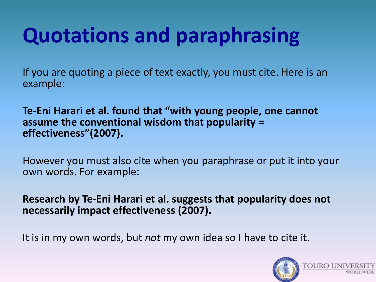# **Quotations and paraphrasing**

If you are quoting a piece of text exactly, you must cite. Here is an example:

**Te-Eni Harari et al. found that "with young people, one cannot assume the conventional wisdom that popularity = effectiveness"(2007).**

However you must also cite when you paraphrase or put it into your own words. For example:

**Research by Te-Eni Harari et al. suggests that popularity does not necessarily impact effectiveness (2007).**

It is in my own words, but *not* my own idea so I have to cite it.

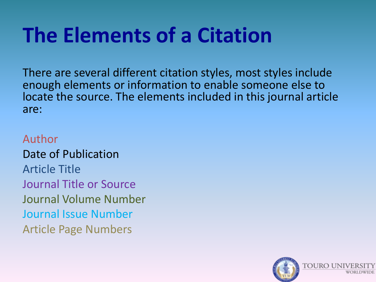### **The Elements of a Citation**

There are several different citation styles, most styles include enough elements or information to enable someone else to locate the source. The elements included in this journal article are:

Author Date of Publication Article Title Journal Title or Source Journal Volume Number Journal Issue Number Article Page Numbers

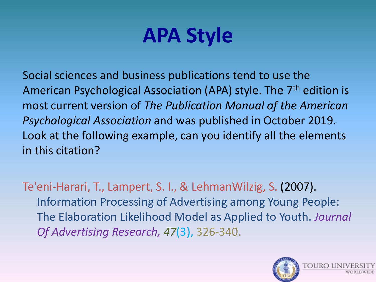### **APA Style**

Social sciences and business publications tend to use the American Psychological Association (APA) style. The 7<sup>th</sup> edition is most current version of *The Publication Manual of the American Psychological Association* and was published in October 2019. Look at the following example, can you identify all the elements in this citation?

Te'eni-Harari, T., Lampert, S. I., & LehmanWilzig, S. (2007). Information Processing of Advertising among Young People: The Elaboration Likelihood Model as Applied to Youth. *Journal Of Advertising Research, 47*(3), 326-340.